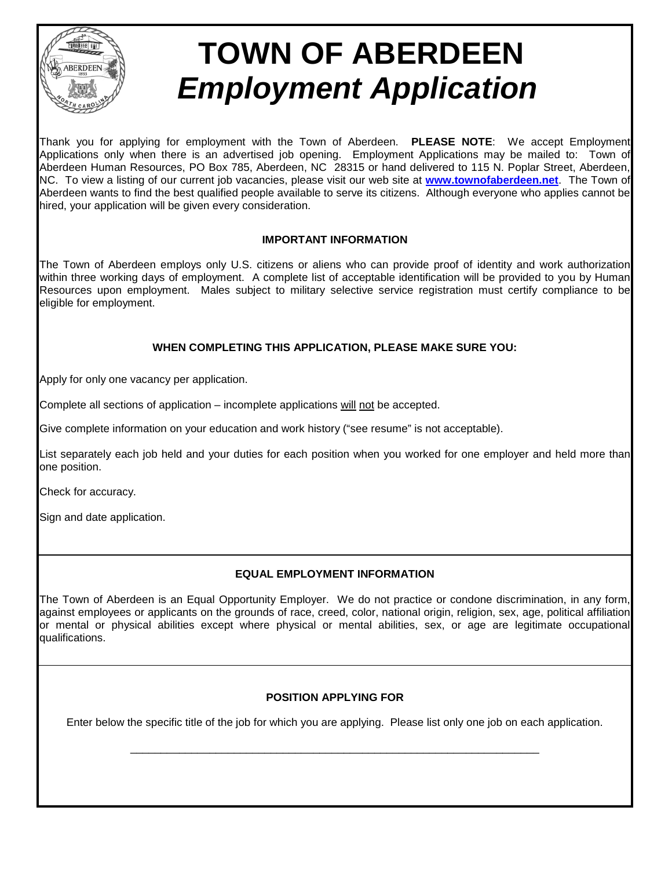

# **TOWN OF ABERDEEN**  *Employment Application*

Thank you for applying for employment with the Town of Aberdeen. **PLEASE NOTE**: We accept Employment Applications only when there is an advertised job opening. Employment Applications may be mailed to: Town of Aberdeen Human Resources, PO Box 785, Aberdeen, NC 28315 or hand delivered to 115 N. Poplar Street, Aberdeen, NC. To view a listing of our current job vacancies, please visit our web site at **[www.townofaberdeen.net](http://www.townofaberdeen.net/)**. The Town of Aberdeen wants to find the best qualified people available to serve its citizens. Although everyone who applies cannot be hired, your application will be given every consideration.

### **IMPORTANT INFORMATION**

The Town of Aberdeen employs only U.S. citizens or aliens who can provide proof of identity and work authorization within three working days of employment. A complete list of acceptable identification will be provided to you by Human Resources upon employment. Males subject to military selective service registration must certify compliance to be eligible for employment.

# **WHEN COMPLETING THIS APPLICATION, PLEASE MAKE SURE YOU:**

Apply for only one vacancy per application.

Complete all sections of application – incomplete applications will not be accepted.

Give complete information on your education and work history ("see resume" is not acceptable).

List separately each job held and your duties for each position when you worked for one employer and held more than one position.

Check for accuracy.

Sign and date application.

## **EQUAL EMPLOYMENT INFORMATION**

The Town of Aberdeen is an Equal Opportunity Employer. We do not practice or condone discrimination, in any form, against employees or applicants on the grounds of race, creed, color, national origin, religion, sex, age, political affiliation or mental or physical abilities except where physical or mental abilities, sex, or age are legitimate occupational qualifications.

#### **POSITION APPLYING FOR**

Enter below the specific title of the job for which you are applying. Please list only one job on each application.

\_\_\_\_\_\_\_\_\_\_\_\_\_\_\_\_\_\_\_\_\_\_\_\_\_\_\_\_\_\_\_\_\_\_\_\_\_\_\_\_\_\_\_\_\_\_\_\_\_\_\_\_\_\_\_\_\_\_\_\_\_\_\_\_\_\_\_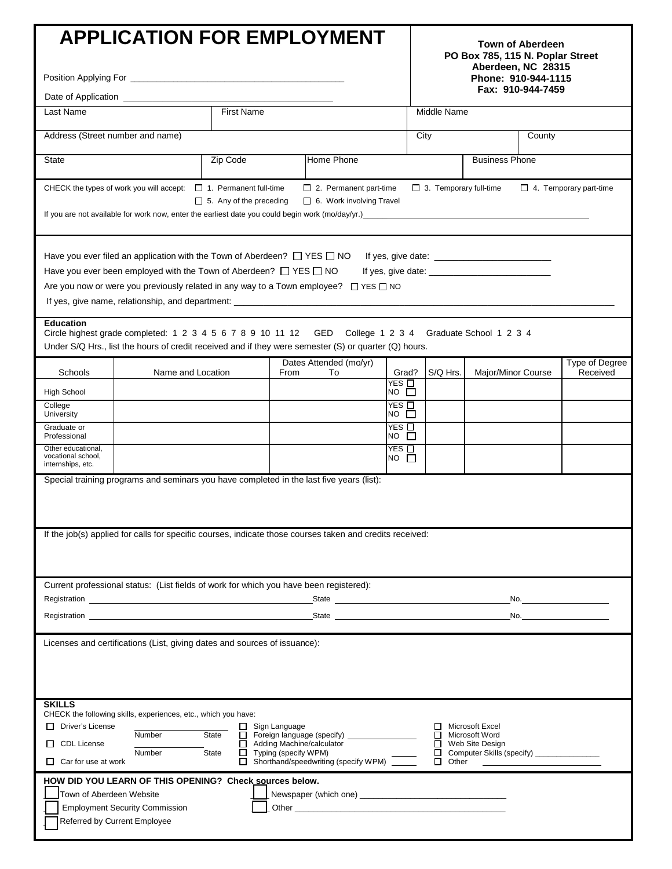|                                                                                                                                                                                                                                                                                                                                                                                                                                                                                                            | <b>APPLICATION FOR EMPLOYMENT</b>                                                                                                                                                                                                   |  |      |                                                                                                                |                                    |                       |              | PO Box 785, 115 N. Poplar Street<br>Aberdeen, NC 28315<br>Phone: 910-944-1115 | <b>Town of Aberdeen</b><br>Fax: 910-944-7459 |                |  |
|------------------------------------------------------------------------------------------------------------------------------------------------------------------------------------------------------------------------------------------------------------------------------------------------------------------------------------------------------------------------------------------------------------------------------------------------------------------------------------------------------------|-------------------------------------------------------------------------------------------------------------------------------------------------------------------------------------------------------------------------------------|--|------|----------------------------------------------------------------------------------------------------------------|------------------------------------|-----------------------|--------------|-------------------------------------------------------------------------------|----------------------------------------------|----------------|--|
| First Name<br>Last Name                                                                                                                                                                                                                                                                                                                                                                                                                                                                                    |                                                                                                                                                                                                                                     |  |      |                                                                                                                |                                    | Middle Name           |              |                                                                               |                                              |                |  |
|                                                                                                                                                                                                                                                                                                                                                                                                                                                                                                            |                                                                                                                                                                                                                                     |  |      |                                                                                                                |                                    |                       |              |                                                                               |                                              |                |  |
| Address (Street number and name)                                                                                                                                                                                                                                                                                                                                                                                                                                                                           |                                                                                                                                                                                                                                     |  |      |                                                                                                                |                                    | City<br>County        |              |                                                                               |                                              |                |  |
| <b>State</b>                                                                                                                                                                                                                                                                                                                                                                                                                                                                                               |                                                                                                                                                                                                                                     |  |      | Home Phone                                                                                                     |                                    | <b>Business Phone</b> |              |                                                                               |                                              |                |  |
| CHECK the types of work you will accept: $\Box$ 1. Permanent full-time<br>$\Box$ 2. Permanent part-time<br>$\Box$ 3. Temporary full-time<br>$\Box$ 4. Temporary part-time<br>$\Box$ 5. Any of the preceding<br>$\Box$ 6. Work involving Travel                                                                                                                                                                                                                                                             |                                                                                                                                                                                                                                     |  |      |                                                                                                                |                                    |                       |              |                                                                               |                                              |                |  |
| If you are not available for work now, enter the earliest date you could begin work (mo/day/yr.) [100] [100] [100] [100] [100] [100] [100] [100] [100] [100] [100] [100] [100] [100] [100] [100] [100] [100] [100] [100] [100]                                                                                                                                                                                                                                                                             |                                                                                                                                                                                                                                     |  |      |                                                                                                                |                                    |                       |              |                                                                               |                                              |                |  |
| Have you ever filed an application with the Town of Aberdeen? $\Box$ YES $\Box$ NO<br>Have you ever been employed with the Town of Aberdeen? $\Box$ YES $\Box$ NO<br>Are you now or were you previously related in any way to a Town employee? $\Box$ YES $\Box$ NO<br><b>Education</b><br>Circle highest grade completed: 1 2 3 4 5 6 7 8 9 10 11 12 GED College 1 2 3 4 Graduate School 1 2 3 4<br>Under S/Q Hrs., list the hours of credit received and if they were semester (S) or quarter (Q) hours. |                                                                                                                                                                                                                                     |  |      |                                                                                                                |                                    |                       |              |                                                                               |                                              |                |  |
|                                                                                                                                                                                                                                                                                                                                                                                                                                                                                                            |                                                                                                                                                                                                                                     |  |      | Dates Attended (mo/yr)                                                                                         |                                    |                       |              |                                                                               |                                              | Type of Degree |  |
| <b>Schools</b><br><b>High School</b>                                                                                                                                                                                                                                                                                                                                                                                                                                                                       | Name and Location                                                                                                                                                                                                                   |  | From | To                                                                                                             | Grad?<br>YES $\Box$<br>$NO$ $\Box$ |                       | S/Q Hrs.     | Major/Minor Course                                                            |                                              | Received       |  |
| College<br>University                                                                                                                                                                                                                                                                                                                                                                                                                                                                                      |                                                                                                                                                                                                                                     |  |      |                                                                                                                | YES □<br>$NO$ $\square$            |                       |              |                                                                               |                                              |                |  |
| Graduate or<br>Professional                                                                                                                                                                                                                                                                                                                                                                                                                                                                                |                                                                                                                                                                                                                                     |  |      |                                                                                                                | $YES$ $\Box$<br>$NO$ $\Box$        |                       |              |                                                                               |                                              |                |  |
| Other educational,<br>vocational school,<br>internships, etc.                                                                                                                                                                                                                                                                                                                                                                                                                                              |                                                                                                                                                                                                                                     |  |      |                                                                                                                | $YES$ $\square$<br>$NO$ $\Box$     |                       |              |                                                                               |                                              |                |  |
|                                                                                                                                                                                                                                                                                                                                                                                                                                                                                                            | Special training programs and seminars you have completed in the last five years (list):<br>If the job(s) applied for calls for specific courses, indicate those courses taken and credits received:                                |  |      |                                                                                                                |                                    |                       |              |                                                                               |                                              |                |  |
|                                                                                                                                                                                                                                                                                                                                                                                                                                                                                                            | Current professional status: (List fields of work for which you have been registered):                                                                                                                                              |  |      |                                                                                                                |                                    |                       |              |                                                                               |                                              |                |  |
| No. <u>Andrea Maria Maria Maria Maria M</u>                                                                                                                                                                                                                                                                                                                                                                                                                                                                |                                                                                                                                                                                                                                     |  |      |                                                                                                                |                                    |                       |              |                                                                               |                                              |                |  |
|                                                                                                                                                                                                                                                                                                                                                                                                                                                                                                            | Registration <b>Registration</b> in the contract of the contract of the contract of the contract of the contract of the contract of the contract of the contract of the contract of the contract of the contract of the contract of |  |      |                                                                                                                |                                    |                       |              |                                                                               |                                              |                |  |
| Licenses and certifications (List, giving dates and sources of issuance):<br><b>SKILLS</b><br>CHECK the following skills, experiences, etc., which you have:<br>Driver's License<br>Sign Language<br>Microsoft Excel<br>□ Sign Language (specify) ________________<br>State<br>Number<br>Microsoft Word<br>П.<br><b>CDL License</b><br>Adding Machine/calculator<br>$\Box$ Web Site Design<br>$\Box$<br>Computer Skills (specify) ____________<br>Number<br><b>State</b><br>Typing (specify WPM)           |                                                                                                                                                                                                                                     |  |      |                                                                                                                |                                    |                       |              |                                                                               |                                              |                |  |
| $\Box$ Car for use at work                                                                                                                                                                                                                                                                                                                                                                                                                                                                                 |                                                                                                                                                                                                                                     |  |      | Shorthand/speedwriting (specify WPM)                                                                           |                                    |                       | $\Box$ Other |                                                                               |                                              |                |  |
| Town of Aberdeen Website                                                                                                                                                                                                                                                                                                                                                                                                                                                                                   | HOW DID YOU LEARN OF THIS OPENING? Check sources below.<br><b>Employment Security Commission</b><br>Referred by Current Employee                                                                                                    |  |      | Other than the contract of the contract of the contract of the contract of the contract of the contract of the |                                    |                       |              |                                                                               |                                              |                |  |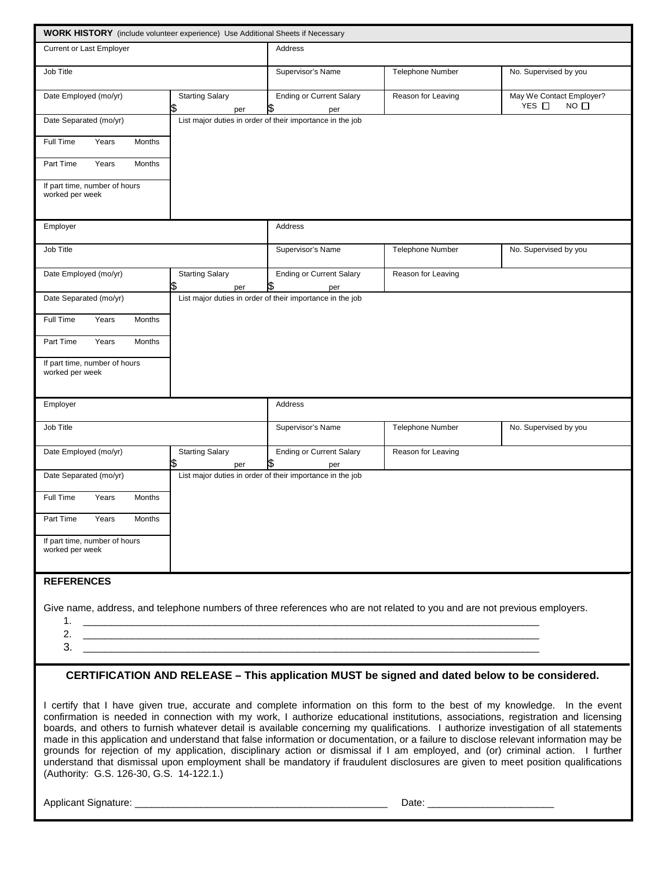| <b>WORK HISTORY</b> (include volunteer experience) Use Additional Sheets if Necessary                                    |                                     |                                                                              |                         |                                                                                                                                                                                                                                                                               |  |  |  |  |  |
|--------------------------------------------------------------------------------------------------------------------------|-------------------------------------|------------------------------------------------------------------------------|-------------------------|-------------------------------------------------------------------------------------------------------------------------------------------------------------------------------------------------------------------------------------------------------------------------------|--|--|--|--|--|
| <b>Current or Last Employer</b>                                                                                          |                                     | <b>Address</b>                                                               |                         |                                                                                                                                                                                                                                                                               |  |  |  |  |  |
| Job Title                                                                                                                |                                     | Supervisor's Name                                                            | <b>Telephone Number</b> | No. Supervised by you                                                                                                                                                                                                                                                         |  |  |  |  |  |
| Date Employed (mo/yr)                                                                                                    | <b>Starting Salary</b><br>\$<br>per | <b>Ending or Current Salary</b><br>\$<br>per                                 | Reason for Leaving      | May We Contact Employer?<br>YES □<br>$NO$ $\square$                                                                                                                                                                                                                           |  |  |  |  |  |
| Date Separated (mo/yr)                                                                                                   |                                     | List major duties in order of their importance in the job                    |                         |                                                                                                                                                                                                                                                                               |  |  |  |  |  |
| Months<br>Full Time<br>Years                                                                                             |                                     |                                                                              |                         |                                                                                                                                                                                                                                                                               |  |  |  |  |  |
| Years<br>Months<br>Part Time                                                                                             |                                     |                                                                              |                         |                                                                                                                                                                                                                                                                               |  |  |  |  |  |
| If part time, number of hours<br>worked per week                                                                         |                                     |                                                                              |                         |                                                                                                                                                                                                                                                                               |  |  |  |  |  |
| Employer                                                                                                                 |                                     | Address                                                                      |                         |                                                                                                                                                                                                                                                                               |  |  |  |  |  |
| Job Title                                                                                                                |                                     | Supervisor's Name                                                            | <b>Telephone Number</b> | No. Supervised by you                                                                                                                                                                                                                                                         |  |  |  |  |  |
| Date Employed (mo/yr)                                                                                                    | <b>Starting Salary</b><br>S<br>per  | <b>Ending or Current Salary</b><br>per                                       | Reason for Leaving      |                                                                                                                                                                                                                                                                               |  |  |  |  |  |
| Date Separated (mo/yr)                                                                                                   |                                     | List major duties in order of their importance in the job                    |                         |                                                                                                                                                                                                                                                                               |  |  |  |  |  |
| Months<br>Full Time<br>Years                                                                                             |                                     |                                                                              |                         |                                                                                                                                                                                                                                                                               |  |  |  |  |  |
| Years<br>Part Time<br>Months                                                                                             |                                     |                                                                              |                         |                                                                                                                                                                                                                                                                               |  |  |  |  |  |
| If part time, number of hours<br>worked per week                                                                         |                                     |                                                                              |                         |                                                                                                                                                                                                                                                                               |  |  |  |  |  |
| Employer                                                                                                                 |                                     | <b>Address</b>                                                               |                         |                                                                                                                                                                                                                                                                               |  |  |  |  |  |
| Job Title                                                                                                                |                                     | Supervisor's Name                                                            | <b>Telephone Number</b> | No. Supervised by you                                                                                                                                                                                                                                                         |  |  |  |  |  |
| Date Employed (mo/yr)                                                                                                    | <b>Starting Salary</b><br>\$<br>per | <b>Ending or Current Salary</b><br>\$<br>per                                 | Reason for Leaving      |                                                                                                                                                                                                                                                                               |  |  |  |  |  |
| Date Separated (mo/yr)                                                                                                   |                                     | List major duties in order of their importance in the job                    |                         |                                                                                                                                                                                                                                                                               |  |  |  |  |  |
| Full Time<br>Years<br>Months                                                                                             |                                     |                                                                              |                         |                                                                                                                                                                                                                                                                               |  |  |  |  |  |
| Months<br>Part Time<br>Years                                                                                             |                                     |                                                                              |                         |                                                                                                                                                                                                                                                                               |  |  |  |  |  |
| If part time, number of hours<br>worked per week                                                                         |                                     |                                                                              |                         |                                                                                                                                                                                                                                                                               |  |  |  |  |  |
|                                                                                                                          |                                     |                                                                              |                         |                                                                                                                                                                                                                                                                               |  |  |  |  |  |
| <b>REFERENCES</b>                                                                                                        |                                     |                                                                              |                         |                                                                                                                                                                                                                                                                               |  |  |  |  |  |
| Give name, address, and telephone numbers of three references who are not related to you and are not previous employers. |                                     |                                                                              |                         |                                                                                                                                                                                                                                                                               |  |  |  |  |  |
| 2.                                                                                                                       |                                     |                                                                              |                         |                                                                                                                                                                                                                                                                               |  |  |  |  |  |
| 3.                                                                                                                       |                                     | <u> 1980 - Johann Barn, fransk politik (d. 1980)</u>                         |                         |                                                                                                                                                                                                                                                                               |  |  |  |  |  |
|                                                                                                                          |                                     |                                                                              |                         | CERTIFICATION AND RELEASE - This application MUST be signed and dated below to be considered.                                                                                                                                                                                 |  |  |  |  |  |
|                                                                                                                          |                                     |                                                                              |                         | I certify that I have given true, accurate and complete information on this form to the best of my knowledge. In the event<br>confirmation is needed in connection with my work, I authorize educational institutions, associations, registration and licensing               |  |  |  |  |  |
|                                                                                                                          |                                     | ston disciplinary action or dismissed if I are exceleved and (ex) existingly |                         | boards, and others to furnish whatever detail is available concerning my qualifications. I authorize investigation of all statements<br>made in this application and understand that false information or documentation, or a failure to disclose relevant information may be |  |  |  |  |  |

grounds for rejection of my application, disciplinary action or dismissal if I am employed, and (or) criminal action. I further understand that dismissal upon employment shall be mandatory if fraudulent disclosures are given to meet position qualifications (Authority: G.S. 126-30, G.S. 14-122.1.)

Applicant Signature: \_\_\_\_\_\_\_\_\_\_\_\_\_\_\_\_\_\_\_\_\_\_\_\_\_\_\_\_\_\_\_\_\_\_\_\_\_\_\_\_\_\_\_\_\_\_ Date: \_\_\_\_\_\_\_\_\_\_\_\_\_\_\_\_\_\_\_\_\_\_\_

 $\mathbf{r}$